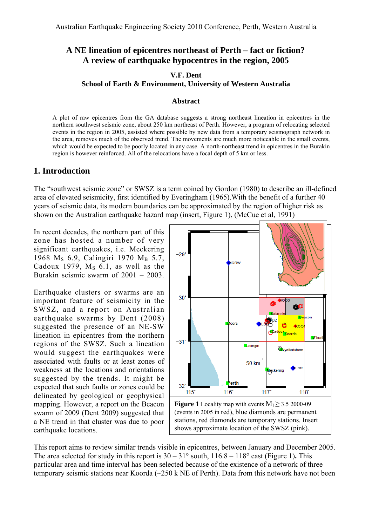## **A NE lineation of epicentres northeast of Perth – fact or fiction? A review of earthquake hypocentres in the region, 2005**

#### **V.F. Dent School of Earth & Environment, University of Western Australia**

#### **Abstract**

A plot of raw epicentres from the GA database suggests a strong northeast lineation in epicentres in the northern southwest seismic zone, about 250 km northeast of Perth. However, a program of relocating selected events in the region in 2005, assisted where possible by new data from a temporary seismograph network in the area, removes much of the observed trend. The movements are much more noticeable in the small events, which would be expected to be poorly located in any case. A north-northeast trend in epicentres in the Burakin region is however reinforced. All of the relocations have a focal depth of 5 km or less.

#### **1. Introduction**

The "southwest seismic zone" or SWSZ is a term coined by Gordon (1980) to describe an ill-defined area of elevated seismicity, first identified by Everingham (1965).With the benefit of a further 40 years of seismic data, its modern boundaries can be approximated by the region of higher risk as shown on the Australian earthquake hazard map (insert, Figure 1), (McCue et al, 1991)

In recent decades, the northern part of this zone has hosted a number of very significant earthquakes, i.e. Meckering 1968 M<sub>S</sub> 6.9, Calingiri 1970 M<sub>B</sub> 5.7, Cadoux 1979,  $M_S$  6.1, as well as the Burakin seismic swarm of 2001 – 2003.

Earthquake clusters or swarms are an important feature of seismicity in the SWSZ, and a report on Australian earthquake swarms by Dent (2008) suggested the presence of an NE-SW lineation in epicentres from the northern regions of the SWSZ. Such a lineation would suggest the earthquakes were associated with faults or at least zones of weakness at the locations and orientations suggested by the trends. It might be expected that such faults or zones could be delineated by geological or geophysical mapping. However, a report on the Beacon swarm of 2009 (Dent 2009) suggested that a NE trend in that cluster was due to poor earthquake locations.



**Figure 1** Locality map with events  $M<sub>L</sub> \ge 3.5$  2000-09 (events in 2005 in red), blue diamonds are permanent stations, red diamonds are temporary stations. Insert shows approximate location of the SWSZ (pink).

This report aims to review similar trends visible in epicentres, between January and December 2005. The area selected for study in this report is  $30 - 31^\circ$  south,  $116.8 - 118^\circ$  east (Figure 1). This particular area and time interval has been selected because of the existence of a network of three temporary seismic stations near Koorda (~250 k NE of Perth). Data from this network have not been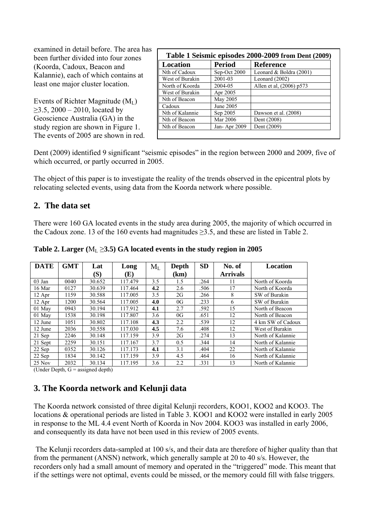examined in detail before. The area has been further divided into four zones (Koorda, Cadoux, Beacon and Kalannie), each of which contains at least one major cluster location.

Events of Richter Magnitude  $(M<sub>L</sub>)$  $≥3.5, 2000 – 2010, located by$ Geoscience Australia (GA) in the study region are shown in Figure 1. The events of 2005 are shown in red.

| Location        | <b>Period</b> | <b>Reference</b>          |
|-----------------|---------------|---------------------------|
| Nth of Cadoux   | Sep-Oct 2000  | Leonard & Boldra $(2001)$ |
| West of Burakin | 2001-03       | Leonard (2002)            |
| North of Koorda | 2004-05       | Allen et al, (2006) p573  |
| West of Burakin | Apr 2005      |                           |
| Nth of Beacon   | May 2005      |                           |
| Cadoux          | June 2005     |                           |
| Nth of Kalannie | Sep 2005      | Dawson et al. (2008)      |
| Nth of Beacon   | Mar 2006      | Dent (2008)               |
| Nth of Beacon   | Jan-Apr 2009  | Dent (2009)               |

Dent (2009) identified 9 significant "seismic episodes" in the region between 2000 and 2009, five of which occurred, or partly occurred in 2005.

The object of this paper is to investigate the reality of the trends observed in the epicentral plots by relocating selected events, using data from the Koorda network where possible.

## **2. The data set**

There were 160 GA located events in the study area during 2005, the majority of which occurred in the Cadoux zone. 13 of the 160 events had magnitudes  $\geq$ 3.5, and these are listed in Table 2.

| <b>DATE</b> | <b>GMT</b> | Lat    | Long    | $M_L$ | Depth | <b>SD</b> | No. of          | Location          |
|-------------|------------|--------|---------|-------|-------|-----------|-----------------|-------------------|
|             |            | (S)    | (E)     |       | (km)  |           | <b>Arrivals</b> |                   |
| $03$ Jan    | 0040       | 30.652 | 117.479 | 3.5   | 1.5   | .264      | 11              | North of Koorda   |
| 16 Mar      | 0127       | 30.639 | 117.464 | 4.2   | 2.6   | .506      | 17              | North of Koorda   |
| 12 Apr      | 1159       | 30.588 | 117.005 | 3.5   | 2G    | .266      | 8               | SW of Burakin     |
| $12$ Apr    | 1200       | 30.564 | 117.005 | 4.0   | 0G    | .233      | 6               | SW of Burakin     |
| 01 May      | 0943       | 30.194 | 117.912 | 4.1   | 2.7   | .592      | 15              | North of Beacon   |
| 01 May      | 1538       | 30.198 | 117.807 | 3.6   | 0G    | .651      | 12              | North of Beacon   |
| 12 June     | 1051       | 30.802 | 117.108 | 4.3   | 2.2   | .539      | 12              | 4 km SW of Cadoux |
| 12 June     | 2036       | 30.558 | 117.030 | 4.5   | 7.6   | .408      | 12              | West of Burakin   |
| 21 Sep      | 2246       | 30.148 | 117.159 | 3.9   | 2G    | .274      | 13              | North of Kalannie |
| 21 Sept     | 2259       | 30.151 | 117.167 | 3.7   | 0.5   | .344      | 14              | North of Kalannie |
| 22 Sep      | 0352       | 30.126 | 117.173 | 4.1   | 3.1   | .404      | 22              | North of Kalannie |
| 22 Sep      | 1834       | 30.142 | 117.159 | 3.9   | 4.5   | .464      | 16              | North of Kalannie |
| 25 Nov      | 2032       | 30.134 | 117.195 | 3.6   | 2.2   | .331      | 13              | North of Kalannie |

Table 2. Larger  $(M_L \geq 3.5)$  GA located events in the study region in 2005

(Under Depth,  $G =$  assigned depth)

# **3. The Koorda network and Kelunji data**

The Koorda network consisted of three digital Kelunji recorders, KOO1, KOO2 and KOO3. The locations & operational periods are listed in Table 3. KOO1 and KOO2 were installed in early 2005 in response to the ML 4.4 event North of Koorda in Nov 2004. KOO3 was installed in early 2006, and consequently its data have not been used in this review of 2005 events.

 The Kelunji recorders data-sampled at 100 s/s, and their data are therefore of higher quality than that from the permanent (ANSN) network, which generally sample at 20 to 40 s/s. However, the recorders only had a small amount of memory and operated in the "triggered" mode. This meant that if the settings were not optimal, events could be missed, or the memory could fill with false triggers.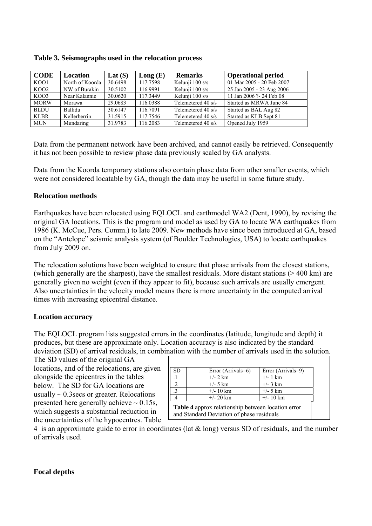| <b>CODE</b> | <b>Location</b> | Lat $(S)$ | Long(E)  | <b>Remarks</b>     | <b>Operational period</b> |
|-------------|-----------------|-----------|----------|--------------------|---------------------------|
| KOO1        | North of Koorda | 30.6498   | 117.7598 | Kelunji 100 s/s    | 01 Mar 2005 - 20 Feb 2007 |
| KOO2        | NW of Burakin   | 30.5102   | 116.9991 | Kelunji 100 s/s    | 25 Jan 2005 - 23 Aug 2006 |
| KOO3        | Near Kalannie   | 30.0620   | 117.3449 | Kelunji 100 s/s    | 11 Jan 2006 ?- 24 Feb 08  |
| <b>MORW</b> | Morawa          | 29.0683   | 116.0388 | Telemetered 40 s/s | Started as MRWA June 84   |
| <b>BLDU</b> | Ballidu         | 30.6147   | 116.7091 | Telemetered 40 s/s | Started as BAL Aug 82     |
| <b>KLBR</b> | Kellerberrin    | 31.5915   | 117.7546 | Telemetered 40 s/s | Started as KLB Sept 81    |
| <b>MUN</b>  | Mundaring       | 31.9783   | 116.2083 | Telemetered 40 s/s | Opened July 1959          |

Data from the permanent network have been archived, and cannot easily be retrieved. Consequently it has not been possible to review phase data previously scaled by GA analysts.

Data from the Koorda temporary stations also contain phase data from other smaller events, which were not considered locatable by GA, though the data may be useful in some future study.

#### **Relocation methods**

Earthquakes have been relocated using EQLOCL and earthmodel WA2 (Dent, 1990), by revising the original GA locations. This is the program and model as used by GA to locate WA earthquakes from 1986 (K. McCue, Pers. Comm.) to late 2009. New methods have since been introduced at GA, based on the "Antelope" seismic analysis system (of Boulder Technologies, USA) to locate earthquakes from July 2009 on.

The relocation solutions have been weighted to ensure that phase arrivals from the closest stations, (which generally are the sharpest), have the smallest residuals. More distant stations (> 400 km) are generally given no weight (even if they appear to fit), because such arrivals are usually emergent. Also uncertainties in the velocity model means there is more uncertainty in the computed arrival times with increasing epicentral distance.

#### **Location accuracy**

The EQLOCL program lists suggested errors in the coordinates (latitude, longitude and depth) it produces, but these are approximate only. Location accuracy is also indicated by the standard deviation (SD) of arrival residuals, in combination with the number of arrivals used in the solution.

The SD values of the original GA locations, and of the relocations, are given alongside the epicentres in the tables below. The SD for GA locations are usually  $\sim 0.3$  secs or greater. Relocations presented here generally achieve  $\sim 0.15$ s, which suggests a substantial reduction in the uncertainties of the hypocentres. Table

| <b>SD</b> | Error (Arrivals=6)                                                                              | Error (Arrivals=9) |  |  |  |  |  |
|-----------|-------------------------------------------------------------------------------------------------|--------------------|--|--|--|--|--|
|           | $+/- 2 km$                                                                                      | $+/- 1$ km         |  |  |  |  |  |
|           | $+/- 5 km$                                                                                      | $+/- 3 km$         |  |  |  |  |  |
|           | $+/- 10 km$                                                                                     | $+/- 5 km$         |  |  |  |  |  |
|           | $+/- 20$ km                                                                                     | $+/- 10 km$        |  |  |  |  |  |
|           | Table 4 approx relationship between location error<br>and Standard Deviation of phase residuals |                    |  |  |  |  |  |

4 is an approximate guide to error in coordinates (lat & long) versus SD of residuals, and the number of arrivals used.

#### **Focal depths**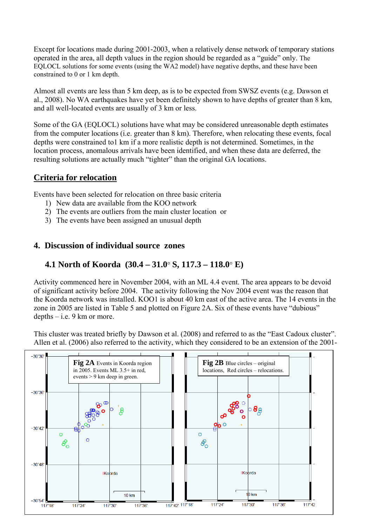Except for locations made during 2001-2003, when a relatively dense network of temporary stations operated in the area, all depth values in the region should be regarded as a "guide" only. The EQLOCL solutions for some events (using the WA2 model) have negative depths, and these have been constrained to 0 or 1 km depth.

Almost all events are less than 5 km deep, as is to be expected from SWSZ events (e.g. Dawson et al., 2008). No WA earthquakes have yet been definitely shown to have depths of greater than 8 km, and all well-located events are usually of 3 km or less.

Some of the GA (EQLOCL) solutions have what may be considered unreasonable depth estimates from the computer locations (i.e. greater than 8 km). Therefore, when relocating these events, focal depths were constrained to1 km if a more realistic depth is not determined. Sometimes, in the location process, anomalous arrivals have been identified, and when these data are deferred, the resulting solutions are actually much "tighter" than the original GA locations.

# **Criteria for relocation**

Events have been selected for relocation on three basic criteria

- 1) New data are available from the KOO network
- 2) The events are outliers from the main cluster location or
- 3) The events have been assigned an unusual depth

### **4. Discussion of individual source zones**

## **4.1 North of Koorda (30.4 – 31.0**° **S, 117.3 – 118.0**° **E)**

Activity commenced here in November 2004, with an ML 4.4 event. The area appears to be devoid of significant activity before 2004. The activity following the Nov 2004 event was the reason that the Koorda network was installed. KOO1 is about 40 km east of the active area. The 14 events in the zone in 2005 are listed in Table 5 and plotted on Figure 2A. Six of these events have "dubious" depths  $-$  i.e. 9 km or more.

This cluster was treated briefly by Dawson et al. (2008) and referred to as the "East Cadoux cluster". Allen et al. (2006) also referred to the activity, which they considered to be an extension of the 2001-

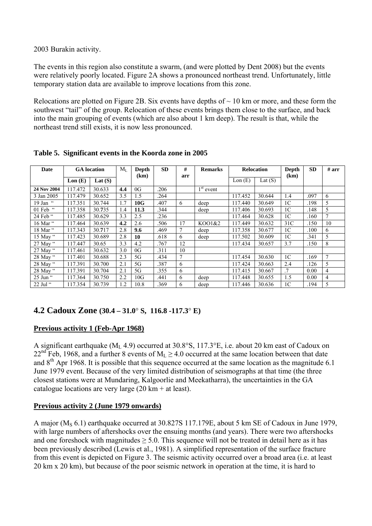2003 Burakin activity.

The events in this region also constitute a swarm, (and were plotted by Dent 2008) but the events were relatively poorly located. Figure 2A shows a pronounced northeast trend. Unfortunately, little temporary station data are available to improve locations from this zone.

Relocations are plotted on Figure 2B. Six events have depths of  $\sim$  10 km or more, and these form the southwest "tail" of the group. Relocation of these events brings them close to the surface, and back into the main grouping of events (which are also about 1 km deep). The result is that, while the northeast trend still exists, it is now less pronounced.

| <b>Date</b>      |         | <b>GA</b> location | $M_I$ | Depth | <b>SD</b> | #      | <b>Remarks</b> |         | <b>Relocation</b> | Depth           | <b>SD</b> | # arr          |
|------------------|---------|--------------------|-------|-------|-----------|--------|----------------|---------|-------------------|-----------------|-----------|----------------|
|                  | Lon(E)  | Lat $(S)$          |       | (km)  |           | arr    |                | Lon(E)  | Lat $(S)$         | (km)            |           |                |
| 24 Nov 2004      | 117.472 | 30.633             | 4.4   | 0G    | .206      |        | $1st$ event    |         |                   |                 |           |                |
| 3 Jan 2005       | 117.479 | 30.652             | 3.5   | 1.5   | .264      |        |                | 117.452 | 30.644            | 1.4             | .097      | 6              |
| 19 Jan $\degree$ | 117.351 | 30.744             | 1.7   | 10G   | .407      | 6      | deep           | 117.440 | 30.649            | 1C              | .198      | 5              |
| 01 Feb "         | 117.358 | 30.735             | 1.4   | 11.3  | .344      |        | deep           | 117.406 | 30.693            | 1C              | .148      | 5              |
| 24 Feb "         | 117.485 | 30.629             | 3.3   | 2.5   | .236      |        |                | 117.464 | 30.628            | 1 <sup>C</sup>  | .160      | $\overline{7}$ |
| 16 Mar "         | 117.464 | 30.639             | 4.2   | 2.6   | .506      | 17     | KO01&2         | 117.449 | 30.632            | 31 <sup>C</sup> | .150      | 10             |
| 18 Mar "         | 117.343 | 30.717             | 2.8   | 9.6   | .469      | $\tau$ | deep           | 117.358 | 30.677            | 1C              | .100      | 6              |
| 15 May $\lq$     | 117.423 | 30.689             | 2.8   | 10    | .618      | 6      | deep           | 117.502 | 30.609            | 1 <sup>C</sup>  | .341      | 5              |
| 27 May "         | 117.447 | 30.65              | 3.3   | 4.2   | .767      | 12     |                | 117.434 | 30.657            | 3.7             | .150      | 8              |
| 27 May $\lq$     | 117.461 | 30.632             | 3.0   | 0G    | .311      | 10     |                |         |                   |                 |           |                |
| 28 May "         | 117.401 | 30.688             | 2.3   | 5G    | .434      | $\tau$ |                | 117.454 | 30.630            | 1 <sup>C</sup>  | .169      | $\overline{7}$ |
| 28 May "         | 117.391 | 30.700             | 2.1   | 5G    | .387      | 6      |                | 117.424 | 30.663            | 2.4             | .126      | 5              |
| 28 May "         | 117.391 | 30.704             | 2.1   | 5G    | .355      | 6      |                | 117.415 | 30.667            | $\cdot$ 7       | 0.00      | $\overline{4}$ |
| 25 Jun "         | 117.364 | 30.750             | 2.2   | 10G   | .441      | 6      | deep           | 117.448 | 30.655            | 1.5             | 0.00      | $\overline{4}$ |
| $22$ Jul "       | 117.354 | 30.739             | 1.2   | 10.8  | .369      | 6      | deep           | 117.446 | 30.636            | 1 <sup>C</sup>  | .194      | 5              |

**Table 5. Significant events in the Koorda zone in 2005** 

# **4.2 Cadoux Zone (30.4 – 31.0**° **S, 116.8 -117.3**° **E)**

## **Previous activity 1 (Feb-Apr 1968)**

A significant earthquake ( $M_L$  4.9) occurred at 30.8°S, 117.3°E, i.e. about 20 km east of Cadoux on 22<sup>nd</sup> Feb, 1968, and a further 8 events of  $M_L \ge 4.0$  occurred at the same location between that date and  $8<sup>th</sup>$  Apr 1968. It is possible that this sequence occurred at the same location as the magnitude 6.1 June 1979 event. Because of the very limited distribution of seismographs at that time (the three closest stations were at Mundaring, Kalgoorlie and Meekatharra), the uncertainties in the GA catalogue locations are very large  $(20 \text{ km} + \text{ at least}).$ 

## **Previous activity 2 (June 1979 onwards)**

A major (M<sub>S</sub> 6.1) earthquake occurred at 30.827S 117.179E, about 5 km SE of Cadoux in June 1979, with large numbers of aftershocks over the ensuing months (and years). There were two aftershocks and one foreshock with magnitudes  $\geq 5.0$ . This sequence will not be treated in detail here as it has been previously described (Lewis et al., 1981). A simplified representation of the surface fracture from this event is depicted on Figure 3. The seismic activity occurred over a broad area (i.e. at least 20 km x 20 km), but because of the poor seismic network in operation at the time, it is hard to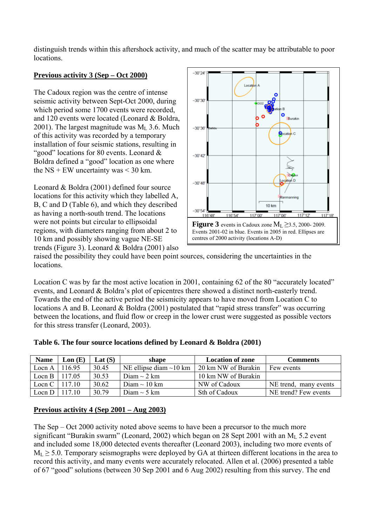distinguish trends within this aftershock activity, and much of the scatter may be attributable to poor locations.

### **Previous activity 3 (Sep – Oct 2000)**

The Cadoux region was the centre of intense seismic activity between Sept-Oct 2000, during which period some 1700 events were recorded, and 120 events were located (Leonard & Boldra, 2001). The largest magnitude was  $M_1$  3.6. Much of this activity was recorded by a temporary installation of four seismic stations, resulting in "good" locations for 80 events. Leonard & Boldra defined a "good" location as one where the NS + EW uncertainty was  $\leq$  30 km.

Leonard & Boldra (2001) defined four source locations for this activity which they labelled A, B, C and D (Table 6), and which they described as having a north-south trend. The locations were not points but circular to ellipsoidal regions, with diameters ranging from about 2 to 10 km and possibly showing vague NE-SE trends (Figure 3). Leonard & Boldra (2001) also



raised the possibility they could have been point sources, considering the uncertainties in the locations.

Location C was by far the most active location in 2001, containing 62 of the 80 "accurately located" events, and Leonard & Boldra's plot of epicentres there showed a distinct north-easterly trend. Towards the end of the active period the seismicity appears to have moved from Location C to locations A and B. Leonard & Boldra (2001) postulated that "rapid stress transfer" was occurring between the locations, and fluid flow or creep in the lower crust were suggested as possible vectors for this stress transfer (Leonard, 2003).

| <b>Name</b> | $\text{Lon}$ (E) | Lat $(S)$ | shape                        | <b>Location of zone</b> | <b>Comments</b>       |
|-------------|------------------|-----------|------------------------------|-------------------------|-----------------------|
| Locn A      | 116.95           | 30.45     | NE ellipse diam $\sim$ 10 km | 20 km NW of Burakin     | Few events            |
| Locn B      | 117.05           | 30.53     | Diam $\sim$ 2 km             | 10 km NW of Burakin     |                       |
| Locn C      | 117.10           | 30.62     | Diam $\sim$ 10 km            | NW of Cadoux            | NE trend, many events |
| Locn D      | 117 10           | 30.79     | Diam $\sim$ 5 km             | Sth of Cadoux           | NE trend? Few events  |

**Table 6. The four source locations defined by Leonard & Boldra (2001)** 

#### **Previous activity 4 (Sep 2001 – Aug 2003)**

The Sep – Oct 2000 activity noted above seems to have been a precursor to the much more significant "Burakin swarm" (Leonard, 2002) which began on 28 Sept 2001 with an  $M_L$  5.2 event and included some 18,000 detected events thereafter (Leonard 2003), including two more events of  $M_L \geq 5.0$ . Temporary seismographs were deployed by GA at thirteen different locations in the area to record this activity, and many events were accurately relocated. Allen et al. (2006) presented a table of 67 "good" solutions (between 30 Sep 2001 and 6 Aug 2002) resulting from this survey. The end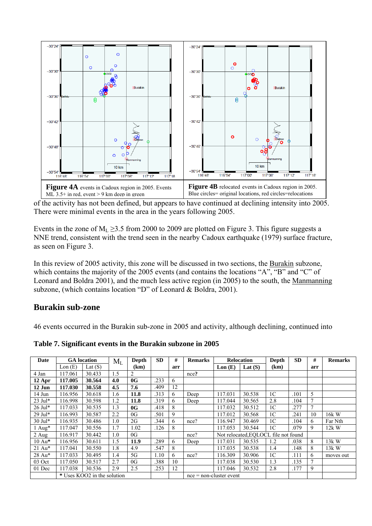

of the activity has not been defined, but appears to have continued at declining intensity into 2005. There were minimal events in the area in the years following 2005.

Events in the zone of  $M_L \ge 3.5$  from 2000 to 2009 are plotted on Figure 3. This figure suggests a NNE trend, consistent with the trend seen in the nearby Cadoux earthquake (1979) surface fracture, as seen on Figure 3.

In this review of 2005 activity, this zone will be discussed in two sections, the Burakin subzone, which contains the majority of the 2005 events (and contains the locations "A", "B" and "C" of Leonard and Boldra 2001), and the much less active region (in 2005) to the south, the Manmanning subzone, (which contains location "D" of Leonard & Boldra, 2001).

## **Burakin sub-zone**

46 events occurred in the Burakin sub-zone in 2005 and activity, although declining, continued into

**Table 7. Significant events in the Burakin subzone in 2005** 

| Date                 |         | <b>GA</b> location          | $M_L$ | Depth | <b>SD</b> | #   | <b>Remarks</b>            |         | <b>Relocation</b>                    | Depth          | <b>SD</b> | #              | <b>Remarks</b> |
|----------------------|---------|-----------------------------|-------|-------|-----------|-----|---------------------------|---------|--------------------------------------|----------------|-----------|----------------|----------------|
|                      | Lon(E)  | Lat $(S)$                   |       | (km)  |           | arr |                           | Lon(E)  | Lat $(S)$                            | (km)           |           | arr            |                |
| 4 Jan                | 117.061 | 30.433                      | 1.5   | 2     |           |     | nce?                      |         |                                      |                |           |                |                |
| $12$ Apr             | 117.005 | 30.564                      | 4.0   | 0G    | .233      | 6   |                           |         |                                      |                |           |                |                |
| 12 Jun               | 117.030 | 30.558                      | 4.5   | 7.6   | .409      | 12  |                           |         |                                      |                |           |                |                |
| 14 Jun               | 116.956 | 30.618                      | 1.6   | 11.8  | .313      | 6   | Deep                      | 117.031 | 30.538                               | 1 <sup>C</sup> | .101      | 5              |                |
| $23$ Jul*            | 116.998 | 30.598                      | 1.2   | 11.8  | .319      | 6   | Deep                      | 117.044 | 30.565                               | 2.8            | .104      | $\tau$         |                |
| $26$ Jul*            | 117.033 | 30.535                      | 1.3   | 0G    | .418      | 8   |                           | 117.032 | 30.512                               | 1 <sup>C</sup> | .277      | $\tau$         |                |
| 29 Jul*              | 116.993 | 30.587                      | 2.2   | 0G    | .501      | 9   |                           | 117.012 | 30.568                               | 1 <sup>C</sup> | .241      | 10             | 16k W          |
| 30 Jul*              | 116.935 | 30.486                      | 1.0   | 2G    | .344      | 6   | nce?                      | 116.947 | 30.469                               | 1 <sup>C</sup> | .104      | 6              | Far Nth        |
| $1$ Aug*             | 117.047 | 30.556                      | 1.7   | 1.02  | .126      | 8   |                           | 117.053 | 30.544                               | 1 <sup>C</sup> | .079      | 9              | $12k$ W        |
| $2$ Aug              | 116.917 | 30.442                      | 1.0   | 0G    |           |     | nce?                      |         | Not relocated, EOLOCL file not found |                |           |                |                |
| $10 \,\mathrm{Au}^*$ | 116.956 | 30.611                      | 1.5   | 11.9  | .289      | 6   | Deep                      | 117.031 | 30.535                               | 1.2            | .038      | 8              | 13k W          |
| 21 Au*               | 117.041 | 30.550                      | 1.8   | 4.9   | .547      | 8   |                           | 117.035 | 30.538                               | 1.4            | .148      | 8              | $13k$ W        |
| 28 Au*               | 117.033 | 30.495                      | 1.4   | 5G    | 1.10      | 6   | nce?                      | 116.309 | 30.906                               | 1 <sup>C</sup> | .111      | 6              | moves out      |
| 03 Oct               | 117.050 | 30.517                      | 2.7   | 0G    | .388      | 10  |                           | 117.038 | 30.530                               | 1.3            | .135      | $\overline{7}$ |                |
| 01 Dec               | 117.038 | 30.536                      | 2.9   | 2.5   | .253      | 12  |                           | 117.046 | 30.532                               | 2.8            | .177      | 9              |                |
|                      |         | * Uses KOO2 in the solution |       |       |           |     | $nce = non-cluster event$ |         |                                      |                |           |                |                |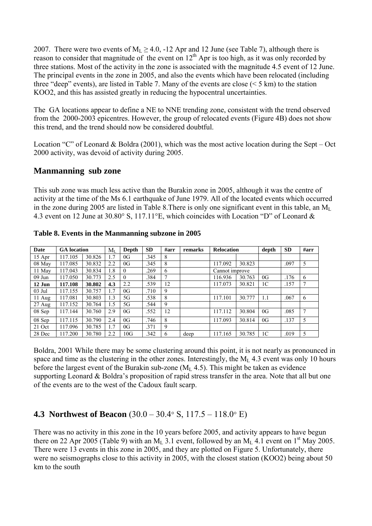2007. There were two events of  $M_L \ge 4.0$ , -12 Apr and 12 June (see Table 7), although there is reason to consider that magnitude of the event on  $12<sup>th</sup>$  Apr is too high, as it was only recorded by three stations. Most of the activity in the zone is associated with the magnitude 4.5 event of 12 June. The principal events in the zone in 2005, and also the events which have been relocated (including three "deep" events), are listed in Table 7. Many of the events are close  $(< 5 \text{ km})$  to the station KOO2, and this has assisted greatly in reducing the hypocentral uncertainties.

The GA locations appear to define a NE to NNE trending zone, consistent with the trend observed from the 2000-2003 epicentres. However, the group of relocated events (Figure 4B) does not show this trend, and the trend should now be considered doubtful.

Location "C" of Leonard & Boldra (2001), which was the most active location during the Sept – Oct 2000 activity, was devoid of activity during 2005.

## **Manmanning sub zone**

This sub zone was much less active than the Burakin zone in 2005, although it was the centre of activity at the time of the Ms 6.1 earthquake of June 1979. All of the located events which occurred in the zone during 2005 are listed in Table 8. There is only one significant event in this table, an  $M_L$ 4.3 event on 12 June at 30.80° S, 117.11°E, which coincides with Location "D" of Leonard &

| Date             | <b>GA</b> location |        | $\rm M_{L}$ | Depth    | <b>SD</b> | $\#arr$ | remarks | <b>Relocation</b> |        | depth          | <b>SD</b> | $\#arr$ |
|------------------|--------------------|--------|-------------|----------|-----------|---------|---------|-------------------|--------|----------------|-----------|---------|
| 15 Apr           | 117.105            | 30.826 | .7          | 0G       | .345      | 8       |         |                   |        |                |           |         |
| 08 May           | 117.085            | 30.832 | 2.2         | 0G       | .345      | 8       |         | 117.092           | 30.823 |                | .097      | 5       |
| 11 May           | 117.043            | 30.834 | l.8         | $\theta$ | .269      | 6       |         | Cannot improve    |        |                |           |         |
| $09$ Jun         | 117.050            | 30.773 | 2.5         | $\theta$ | .384      |         |         | 116.936           | 30.763 | 0G             | .176      | 6       |
| $12$ Jun         | 117.108            | 30.802 | 4.3         | 2.2      | .539      | 12      |         | 117.073           | 30.821 | 1C             | .157      |         |
| $03$ Jul         | 117.155            | 30.757 | 1.7         | 0G       | .710      | 9       |         |                   |        |                |           |         |
| $11 \text{ Aug}$ | 117.081            | 30.803 | l.3         | 5G       | .538      | 8       |         | 117.101           | 30.777 | 1.1            | .067      | 6       |
| $27$ Aug         | 117.152            | 30.764 | 1.5         | 5G       | .544      | 9       |         |                   |        |                |           |         |
| 08 Sep           | 117.144            | 30.760 | 2.9         | 0G       | .552      | 12      |         | 117.112           | 30.804 | 0G             | .085      | 7       |
| 08 Sep           | 117.115            | 30.790 | 2.4         | 0G       | .746      | 8       |         | 117.093           | 30.814 | 0G             | .137      | 5       |
| 21 Oct           | 117.096            | 30.785 | 1.7         | 0G       | .371      | 9       |         |                   |        |                |           |         |
| 28 Dec           | 117.200            | 30.780 | 2.2         | 10G      | .342      | 6       | deep    | 117.165           | 30.785 | 1 <sup>C</sup> | .019      | 5       |

**Table 8. Events in the Manmanning subzone in 2005** 

Boldra, 2001 While there may be some clustering around this point, it is not nearly as pronounced in space and time as the clustering in the other zones. Interestingly, the  $M<sub>L</sub>$  4.3 event was only 10 hours before the largest event of the Burakin sub-zone  $(M<sub>L</sub>, 4.5)$ . This might be taken as evidence supporting Leonard & Boldra's proposition of rapid stress transfer in the area. Note that all but one of the events are to the west of the Cadoux fault scarp.

# **4.3 Northwest of Beacon** (30.0 – 30.4° S, 117.5 – 118.0° E)

There was no activity in this zone in the 10 years before 2005, and activity appears to have begun there on 22 Apr 2005 (Table 9) with an  $M_L$  3.1 event, followed by an  $M_L$  4.1 event on 1<sup>st</sup> May 2005. There were 13 events in this zone in 2005, and they are plotted on Figure 5. Unfortunately, there were no seismographs close to this activity in 2005, with the closest station (KOO2) being about 50 km to the south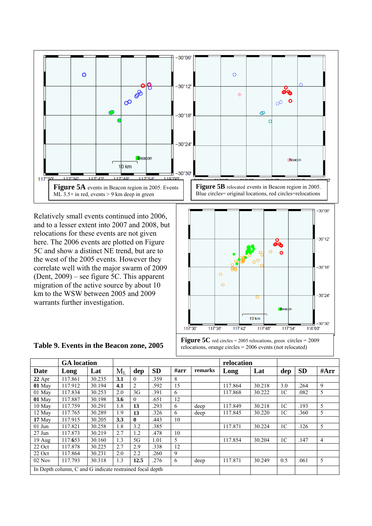

Relatively small events continued into 2006, and to a lesser extent into 2007 and 2008, but relocations for these events are not given here. The 2006 events are plotted on Figure 5C and show a distinct NE trend, but are to the west of the 2005 events. However they correlate well with the major swarm of 2009 (Dent, 2009) – see figure 5C. This apparent migration of the active source by about 10 km to the WSW between 2005 and 2009 warrants further investigation.



**Figure 5C** red circles = 2005 relocations, green circles = 2009 relocations, orange circles = 2006 events (not relocated)

|          | <b>GA</b> location                                       |        |       |                |           |         |         | relocation |        |                |           |      |
|----------|----------------------------------------------------------|--------|-------|----------------|-----------|---------|---------|------------|--------|----------------|-----------|------|
| Date     | Long                                                     | Lat    | $M_L$ | dep            | <b>SD</b> | $\#arr$ | remarks | Long       | Lat    | dep            | <b>SD</b> | #Arr |
| $22$ Apr | 117.861                                                  | 30.235 | 3.1   | $\theta$       | 359       | 8       |         |            |        |                |           |      |
| $01$ May | 117.912                                                  | 30.194 | 4.1   | $\overline{2}$ | .592      | 15      |         | 117.864    | 30.218 | 3.0            | .264      | 9    |
| 01 May   | 117.834                                                  | 30.253 | 2.0   | 3G             | .391      | 6       |         | 117.868    | 30.222 | 1 <sup>C</sup> | .082      | 5    |
| $01$ May | 117.887                                                  | 30.198 | 3.6   | $\theta$       | .651      | 12      |         |            |        |                |           |      |
| 10 May   | 117.759                                                  | 30.291 | 1.8   | 13             | .293      | 6       | deep    | 117.849    | 30.218 | 1 <sup>C</sup> | .193      | 5    |
| 12 May   | 117.765                                                  | 30.289 | 1.9   | 13             | .326      | 6       | deep    | 117.845    | 30.220 | 1 <sup>C</sup> | .360      | 5    |
| 17 May   | 117.915                                                  | 30.205 | 3.3   | $\bf{0}$       | .443      | 10      |         |            |        |                |           |      |
| $01$ Jun | 117.821                                                  | 30.258 | 1.8   | 3.2            | .385      |         |         | 117.871    | 30.224 | 1 <sup>C</sup> | .126      | 5    |
| $27$ Jun | 117.873                                                  | 30.219 | 2.7   | 1.2            | .478      | 10      |         |            |        |                |           |      |
| $19$ Aug | 117.653                                                  | 30.160 | 1.3   | 5G             | 1.01      | 5       |         | 117.854    | 30.204 | 1 <sup>C</sup> | .147      | 4    |
| 22 Oct   | 117.878                                                  | 30.225 | 2.7   | 2.9            | .338      | 12      |         |            |        |                |           |      |
| 22 Oct   | 117.864                                                  | 30.231 | 2.0   | 2.2            | 260       | 9       |         |            |        |                |           |      |
| $02$ Nov | 117.793                                                  | 30.318 | 1.3   | 12.5           | .276      | 6       | deep    | 117.871    | 30.249 | 0.5            | .061      | 5    |
|          | In Depth column, C and G indicate restrained focal depth |        |       |                |           |         |         |            |        |                |           |      |

#### **Table 9. Events in the Beacon zone, 2005**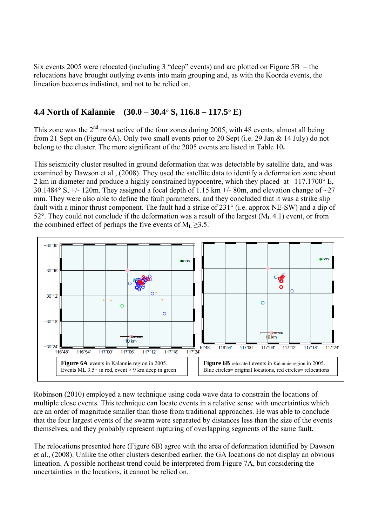Six events 2005 were relocated (including 3 "deep" events) and are plotted on Figure 5B – the relocations have brought outlying events into main grouping and, as with the Koorda events, the lineation becomes indistinct, and not to be relied on.

# **4.4 North of Kalannie (30.0** – **30.4**° **S, 116.8 – 117.5**° **E)**

This zone was the  $2<sup>nd</sup>$  most active of the four zones during 2005, with 48 events, almost all being from 21 Sept on (Figure 6A). Only two small events prior to 20 Sept (i.e. 29 Jan & 14 July) do not belong to the cluster. The more significant of the 2005 events are listed in Table 10**.** 

This seismicity cluster resulted in ground deformation that was detectable by satellite data, and was examined by Dawson et al., (2008). They used the satellite data to identify a deformation zone about 2 km in diameter and produce a highly constrained hypocentre, which they placed at 117.1700° E, 30.1484° S,  $\pm$ /- 120m. They assigned a focal depth of 1.15 km  $\pm$ /- 80m, and elevation change of  $\sim$ 27 mm. They were also able to define the fault parameters, and they concluded that it was a strike slip fault with a minor thrust component. The fault had a strike of 231° (i.e. approx NE-SW) and a dip of 52°. They could not conclude if the deformation was a result of the largest  $(M<sub>L</sub>, 4.1)$  event, or from the combined effect of perhaps the five events of  $M_L \geq 3.5$ .



Robinson (2010) employed a new technique using coda wave data to constrain the locations of multiple close events. This technique can locate events in a relative sense with uncertainties which are an order of magnitude smaller than those from traditional approaches. He was able to conclude that the four largest events of the swarm were separated by distances less than the size of the events themselves, and they probably represent rupturing of overlapping segments of the same fault.

The relocations presented here (Figure 6B) agree with the area of deformation identified by Dawson et al., (2008). Unlike the other clusters described earlier, the GA locations do not display an obvious lineation. A possible northeast trend could be interpreted from Figure 7A, but considering the uncertainties in the locations, it cannot be relied on.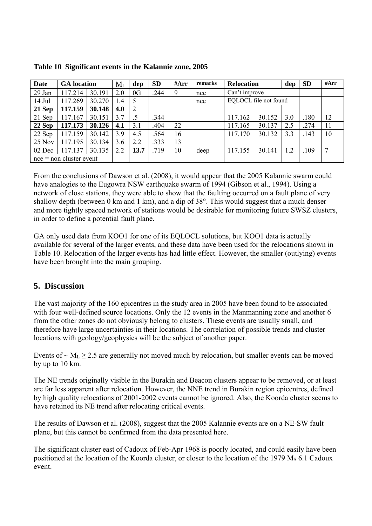| Date   | <b>GA</b> location        |        | $M_{L}$   | dep  | <b>SD</b> | #Arr | remarks | <b>Relocation</b><br>dep |        |     | <b>SD</b> | #Arr         |
|--------|---------------------------|--------|-----------|------|-----------|------|---------|--------------------------|--------|-----|-----------|--------------|
| 29 Jan | 117.214                   | 30.191 | 2.0       | 0G   | .244      | 9    | nce     | Can't improve            |        |     |           |              |
| 14 Jul | 117.269                   | 30.270 | $\cdot$ 4 | 5    |           |      | nce     | EQLOCL file not found    |        |     |           |              |
| 21 Sep | 117.159                   | 30.148 | 4.0       | 2    |           |      |         |                          |        |     |           |              |
| 21 Sep | 117.167                   | 30.151 | 3.7       |      | .344      |      |         | 117.162                  | 30.152 | 3.0 | .180      | 12           |
| 22 Sep | 117.173                   | 30.126 | 4.1       | 3.1  | .404      | 22   |         | 117.165                  | 30.137 | 2.5 | .274      | 11           |
| 22 Sep | 117.159                   | 30.142 | 3.9       | 4.5  | .564      | 16   |         | 117.170                  | 30.132 | 3.3 | .143      | 10           |
| 25 Nov | 117.195                   | 30.134 | 3.6       | 2.2  | .333      | 13   |         |                          |        |     |           |              |
| 02 Dec | 117.137                   | 30.135 | 2.2       | 13.7 | .719      | 10   | deep    | 117.155                  | 30.141 | 1.2 | .109      | $\mathbf{r}$ |
|        | $nce = non cluster event$ |        |           |      |           |      |         |                          |        |     |           |              |

**Table 10 Significant events in the Kalannie zone, 2005** 

From the conclusions of Dawson et al. (2008), it would appear that the 2005 Kalannie swarm could have analogies to the Eugowra NSW earthquake swarm of 1994 (Gibson et al., 1994). Using a network of close stations, they were able to show that the faulting occurred on a fault plane of very shallow depth (between 0 km and 1 km), and a dip of 38°. This would suggest that a much denser and more tightly spaced network of stations would be desirable for monitoring future SWSZ clusters, in order to define a potential fault plane.

GA only used data from KOO1 for one of its EQLOCL solutions, but KOO1 data is actually available for several of the larger events, and these data have been used for the relocations shown in Table 10. Relocation of the larger events has had little effect. However, the smaller (outlying) events have been brought into the main grouping.

# **5. Discussion**

The vast majority of the 160 epicentres in the study area in 2005 have been found to be associated with four well-defined source locations. Only the 12 events in the Manmanning zone and another 6 from the other zones do not obviously belong to clusters. These events are usually small, and therefore have large uncertainties in their locations. The correlation of possible trends and cluster locations with geology/geophysics will be the subject of another paper.

Events of  $\sim M_L \ge 2.5$  are generally not moved much by relocation, but smaller events can be moved by up to 10 km.

The NE trends originally visible in the Burakin and Beacon clusters appear to be removed, or at least are far less apparent after relocation. However, the NNE trend in Burakin region epicentres, defined by high quality relocations of 2001-2002 events cannot be ignored. Also, the Koorda cluster seems to have retained its NE trend after relocating critical events.

The results of Dawson et al. (2008), suggest that the 2005 Kalannie events are on a NE-SW fault plane, but this cannot be confirmed from the data presented here.

The significant cluster east of Cadoux of Feb-Apr 1968 is poorly located, and could easily have been positioned at the location of the Koorda cluster, or closer to the location of the 1979  $M<sub>S</sub>$  6.1 Cadoux event.